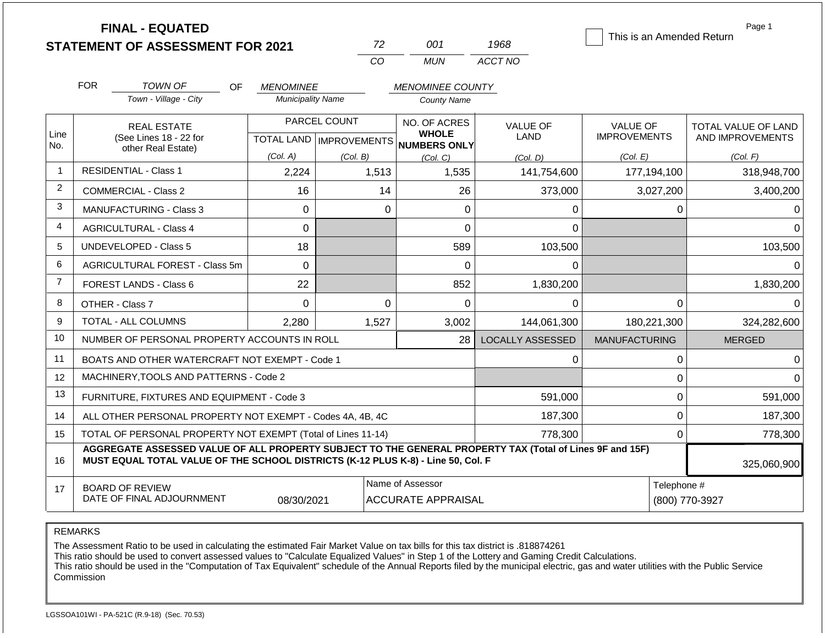|                | <b>FINAL - EQUATED</b>                                                                                                                                                                                      |                          |                              |                                     |                 | This is an Amended Return | Page 1              |
|----------------|-------------------------------------------------------------------------------------------------------------------------------------------------------------------------------------------------------------|--------------------------|------------------------------|-------------------------------------|-----------------|---------------------------|---------------------|
|                | <b>STATEMENT OF ASSESSMENT FOR 2021</b>                                                                                                                                                                     |                          | 72                           | 001                                 | 1968            |                           |                     |
|                |                                                                                                                                                                                                             |                          | CO                           | <b>MUN</b>                          | ACCT NO         |                           |                     |
|                | <b>FOR</b><br><b>TOWN OF</b><br>OF.                                                                                                                                                                         | <b>MENOMINEE</b>         |                              | <b>MENOMINEE COUNTY</b>             |                 |                           |                     |
|                | Town - Village - City                                                                                                                                                                                       | <b>Municipality Name</b> |                              | <b>County Name</b>                  |                 |                           |                     |
|                | <b>REAL ESTATE</b>                                                                                                                                                                                          |                          | PARCEL COUNT<br>NO. OF ACRES |                                     | <b>VALUE OF</b> | <b>VALUE OF</b>           | TOTAL VALUE OF LAND |
| Line<br>No.    | (See Lines 18 - 22 for                                                                                                                                                                                      |                          | TOTAL LAND   IMPROVEMENTS    | <b>WHOLE</b><br><b>NUMBERS ONLY</b> | <b>LAND</b>     | <b>IMPROVEMENTS</b>       | AND IMPROVEMENTS    |
|                | other Real Estate)                                                                                                                                                                                          | (Col. A)                 | (Col. B)                     | (Col, C)                            | (Col, D)        | (Col. E)                  | (Col. F)            |
| $\mathbf{1}$   | <b>RESIDENTIAL - Class 1</b>                                                                                                                                                                                | 2,224                    | 1,513                        | 1,535                               | 141,754,600     | 177,194,100               | 318,948,700         |
| $\overline{2}$ | 16<br><b>COMMERCIAL - Class 2</b>                                                                                                                                                                           |                          | 14                           | 26                                  | 373,000         | 3,027,200                 | 3,400,200           |
| 3              | MANUFACTURING - Class 3                                                                                                                                                                                     | $\Omega$                 | $\Omega$                     | $\Omega$                            | 0               | $\Omega$                  |                     |
| 4              | 0<br><b>AGRICULTURAL - Class 4</b>                                                                                                                                                                          |                          |                              | 0                                   | $\Omega$        |                           | $\Omega$            |
| 5              | UNDEVELOPED - Class 5<br>18                                                                                                                                                                                 |                          |                              | 589                                 | 103,500         |                           | 103,500             |
| 6              | AGRICULTURAL FOREST - Class 5m                                                                                                                                                                              | $\mathbf 0$              |                              | 0                                   | 0               |                           | $\Omega$            |
| $\overline{7}$ | FOREST LANDS - Class 6                                                                                                                                                                                      | 22                       |                              | 852                                 | 1,830,200       |                           | 1,830,200           |
| 8              | OTHER - Class 7                                                                                                                                                                                             | $\mathbf 0$              | $\mathbf 0$                  | $\mathbf 0$                         | $\Omega$        | $\mathbf 0$               | $\Omega$            |
| 9              | TOTAL - ALL COLUMNS                                                                                                                                                                                         | 2,280                    | 1,527                        | 3,002                               | 144,061,300     | 180,221,300               | 324,282,600         |
| 10             | NUMBER OF PERSONAL PROPERTY ACCOUNTS IN ROLL                                                                                                                                                                |                          | LOCALLY ASSESSED             | <b>MANUFACTURING</b>                | <b>MERGED</b>   |                           |                     |
| 11             | BOATS AND OTHER WATERCRAFT NOT EXEMPT - Code 1                                                                                                                                                              |                          |                              | 0                                   | 0               | $\Omega$                  |                     |
| 12             | MACHINERY, TOOLS AND PATTERNS - Code 2                                                                                                                                                                      |                          |                              |                                     | $\mathbf 0$     | ∩                         |                     |
| 13             | FURNITURE, FIXTURES AND EQUIPMENT - Code 3                                                                                                                                                                  |                          |                              | 591,000                             | $\mathbf 0$     | 591,000                   |                     |
| 14             | ALL OTHER PERSONAL PROPERTY NOT EXEMPT - Codes 4A, 4B, 4C                                                                                                                                                   |                          |                              | 187,300                             | $\mathbf 0$     | 187,300                   |                     |
| 15             | TOTAL OF PERSONAL PROPERTY NOT EXEMPT (Total of Lines 11-14)<br>778,300                                                                                                                                     |                          |                              |                                     |                 |                           | 778,300             |
| 16             | AGGREGATE ASSESSED VALUE OF ALL PROPERTY SUBJECT TO THE GENERAL PROPERTY TAX (Total of Lines 9F and 15F)<br>MUST EQUAL TOTAL VALUE OF THE SCHOOL DISTRICTS (K-12 PLUS K-8) - Line 50, Col. F<br>325,060,900 |                          |                              |                                     |                 |                           |                     |
| 17             | Name of Assessor<br><b>BOARD OF REVIEW</b><br>DATE OF FINAL ADJOURNMENT<br>08/30/2021<br><b>ACCURATE APPRAISAL</b>                                                                                          |                          |                              |                                     |                 | Telephone #               | (800) 770-3927      |

REMARKS

The Assessment Ratio to be used in calculating the estimated Fair Market Value on tax bills for this tax district is .818874261

This ratio should be used to convert assessed values to "Calculate Equalized Values" in Step 1 of the Lottery and Gaming Credit Calculations.

 This ratio should be used in the "Computation of Tax Equivalent" schedule of the Annual Reports filed by the municipal electric, gas and water utilities with the Public Service Commission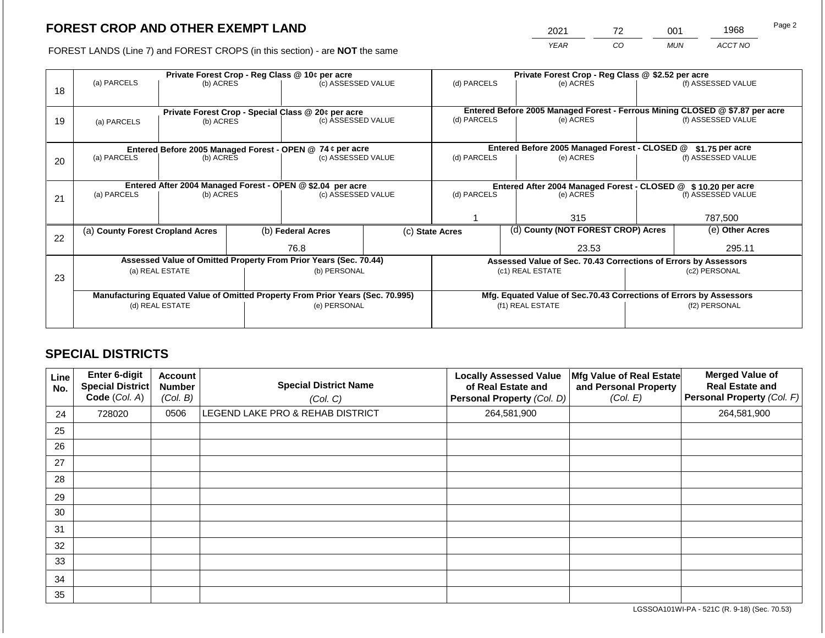# **FOREST CROP AND OTHER EXEMPT LAND**

2021 72 001 1968

FOREST LANDS (Line 7) and FOREST CROPS (in this section) - are **NOT** the same *YEAR CO MUN ACCT NO*

|    | Private Forest Crop - Reg Class @ 10¢ per acre                                 |                                                            |                    |                                                           |                                                                              | Private Forest Crop - Reg Class @ \$2.52 per acre                  |                 |                    |                    |                    |
|----|--------------------------------------------------------------------------------|------------------------------------------------------------|--------------------|-----------------------------------------------------------|------------------------------------------------------------------------------|--------------------------------------------------------------------|-----------------|--------------------|--------------------|--------------------|
| 18 | (a) PARCELS                                                                    | (b) ACRES                                                  | (c) ASSESSED VALUE |                                                           | (d) PARCELS                                                                  |                                                                    | (e) ACRES       |                    | (f) ASSESSED VALUE |                    |
|    |                                                                                |                                                            |                    |                                                           |                                                                              |                                                                    |                 |                    |                    |                    |
|    |                                                                                | Private Forest Crop - Special Class @ 20¢ per acre         |                    |                                                           | Entered Before 2005 Managed Forest - Ferrous Mining CLOSED @ \$7.87 per acre |                                                                    |                 |                    |                    |                    |
| 19 | (c) ASSESSED VALUE<br>(b) ACRES<br>(a) PARCELS                                 |                                                            |                    | (d) PARCELS                                               |                                                                              | (e) ACRES                                                          |                 | (f) ASSESSED VALUE |                    |                    |
|    |                                                                                |                                                            |                    |                                                           |                                                                              |                                                                    |                 |                    |                    |                    |
|    |                                                                                |                                                            |                    | Entered Before 2005 Managed Forest - OPEN @ 74 ¢ per acre |                                                                              | Entered Before 2005 Managed Forest - CLOSED @<br>$$1.75$ per acre  |                 |                    |                    |                    |
| 20 | (a) PARCELS                                                                    | (b) ACRES                                                  |                    | (c) ASSESSED VALUE                                        |                                                                              | (d) PARCELS                                                        |                 | (e) ACRES          |                    | (f) ASSESSED VALUE |
|    |                                                                                |                                                            |                    |                                                           |                                                                              |                                                                    |                 |                    |                    |                    |
|    |                                                                                | Entered After 2004 Managed Forest - OPEN @ \$2.04 per acre |                    |                                                           |                                                                              | Entered After 2004 Managed Forest - CLOSED @ \$10.20 per acre      |                 |                    |                    |                    |
| 21 | (a) PARCELS                                                                    | (c) ASSESSED VALUE<br>(b) ACRES                            |                    |                                                           | (d) PARCELS                                                                  |                                                                    | (e) ACRES       | (f) ASSESSED VALUE |                    |                    |
|    |                                                                                |                                                            |                    |                                                           |                                                                              |                                                                    |                 |                    |                    |                    |
|    |                                                                                |                                                            |                    |                                                           |                                                                              |                                                                    | 315             |                    | 787,500            |                    |
| 22 |                                                                                | (b) Federal Acres<br>(a) County Forest Cropland Acres      |                    |                                                           | (d) County (NOT FOREST CROP) Acres<br>(c) State Acres                        |                                                                    | (e) Other Acres |                    |                    |                    |
|    |                                                                                |                                                            |                    | 76.8                                                      |                                                                              |                                                                    |                 | 23.53              |                    | 295.11             |
|    | Assessed Value of Omitted Property From Prior Years (Sec. 70.44)               |                                                            |                    |                                                           |                                                                              | Assessed Value of Sec. 70.43 Corrections of Errors by Assessors    |                 |                    |                    |                    |
| 23 | (a) REAL ESTATE<br>(b) PERSONAL                                                |                                                            |                    |                                                           | (c1) REAL ESTATE                                                             |                                                                    | (c2) PERSONAL   |                    |                    |                    |
|    |                                                                                |                                                            |                    |                                                           |                                                                              |                                                                    |                 |                    |                    |                    |
|    | Manufacturing Equated Value of Omitted Property From Prior Years (Sec. 70.995) |                                                            |                    |                                                           |                                                                              | Mfg. Equated Value of Sec.70.43 Corrections of Errors by Assessors |                 |                    |                    |                    |
|    | (d) REAL ESTATE                                                                |                                                            |                    | (e) PERSONAL                                              |                                                                              | (f1) REAL ESTATE                                                   |                 | (f2) PERSONAL      |                    |                    |
|    |                                                                                |                                                            |                    |                                                           |                                                                              |                                                                    |                 |                    |                    |                    |
|    |                                                                                |                                                            |                    |                                                           |                                                                              |                                                                    |                 |                    |                    |                    |

## **SPECIAL DISTRICTS**

| Line<br>No. | Enter 6-digit<br><b>Special District</b><br>Code (Col. A) | Account<br><b>Number</b><br>(Col. B) | <b>Special District Name</b><br>(Col. C) | <b>Locally Assessed Value</b><br>of Real Estate and<br>Personal Property (Col. D) | Mfg Value of Real Estate<br>and Personal Property<br>(Col. E) | <b>Merged Value of</b><br><b>Real Estate and</b><br>Personal Property (Col. F) |
|-------------|-----------------------------------------------------------|--------------------------------------|------------------------------------------|-----------------------------------------------------------------------------------|---------------------------------------------------------------|--------------------------------------------------------------------------------|
| 24          | 728020                                                    | 0506                                 | LEGEND LAKE PRO & REHAB DISTRICT         | 264,581,900                                                                       |                                                               | 264,581,900                                                                    |
| 25          |                                                           |                                      |                                          |                                                                                   |                                                               |                                                                                |
| 26          |                                                           |                                      |                                          |                                                                                   |                                                               |                                                                                |
| 27          |                                                           |                                      |                                          |                                                                                   |                                                               |                                                                                |
| 28          |                                                           |                                      |                                          |                                                                                   |                                                               |                                                                                |
| 29          |                                                           |                                      |                                          |                                                                                   |                                                               |                                                                                |
| 30          |                                                           |                                      |                                          |                                                                                   |                                                               |                                                                                |
| 31          |                                                           |                                      |                                          |                                                                                   |                                                               |                                                                                |
| 32          |                                                           |                                      |                                          |                                                                                   |                                                               |                                                                                |
| 33          |                                                           |                                      |                                          |                                                                                   |                                                               |                                                                                |
| 34          |                                                           |                                      |                                          |                                                                                   |                                                               |                                                                                |
| 35          |                                                           |                                      |                                          |                                                                                   |                                                               |                                                                                |

LGSSOA101WI-PA - 521C (R. 9-18) (Sec. 70.53)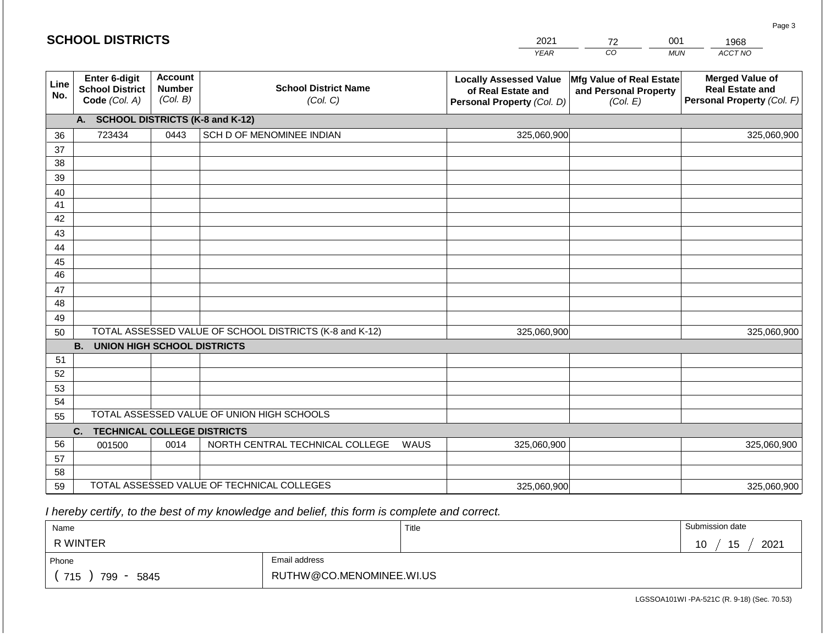#### *YEAR*  2021  $\overline{co}$ *MUN ACCT NO*  1968 **Line No. Enter 6-digit School District Code** *(Col. A)* **Account Number** *(Col. B)* **School District Name** *(Col. C)* **Locally Assessed Value of Real Estate and Personal Property** *(Col. D)* **Mfg Value of Real Estate and Personal Property** *(Col. E)* **Merged Value of Real Estate and Personal Property** *(Col. F)* **A. SCHOOL DISTRICTS (K-8 and K-12)** 36 37 38 39 40 41 42 43 44 45 46 47 48 49 50 TOTAL ASSESSED VALUE OF SCHOOL DISTRICTS (K-8 and K-12) **B. UNION HIGH SCHOOL DISTRICTS** 51 52 53 54 55 **C. TECHNICAL COLLEGE DISTRICTS** 56 57 58 59 TOTAL ASSESSED VALUE OF TECHNICAL COLLEGES TOTAL ASSESSED VALUE OF UNION HIGH SCHOOLS 723434 0443 SCH D OF MENOMINEE INDIAN 325,060,900 325,060,900 001500 | 0014 | NORTH CENTRAL TECHNICAL COLLEGE WAUS 325,060,900 325,060,900 325,060,900 325,060,900 325,060,900 325,060,900

 *I hereby certify, to the best of my knowledge and belief, this form is complete and correct.*

| Name                   |                          | Title | Submission date  |
|------------------------|--------------------------|-------|------------------|
| R WINTER               |                          |       | 2021<br>ن ا<br>ັ |
| Email address<br>Phone |                          |       |                  |
| 715<br>799<br>5845     | RUTHW@CO.MENOMINEE.WI.US |       |                  |

LGSSOA101WI -PA-521C (R. 9-18) (Sec. 70.53)

Page 3

| <b>SCHOOL DISTRICTS</b> |  |  |
|-------------------------|--|--|
|-------------------------|--|--|

72

001